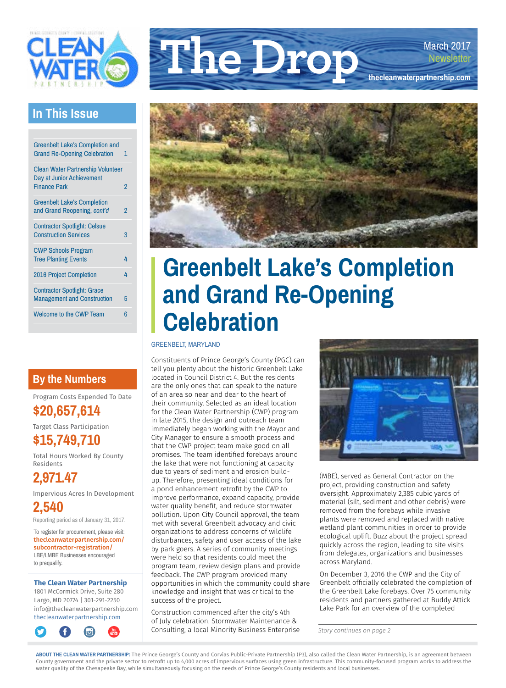

### **In This Issue**

| <b>Greenbelt Lake's Completion and</b><br><b>Grand Re-Opening Celebration</b>                | 1.             |
|----------------------------------------------------------------------------------------------|----------------|
| <b>Clean Water Partnership Volunteer</b><br>Day at Junior Achievement<br><b>Finance Park</b> | $\overline{2}$ |
| <b>Greenbelt Lake's Completion</b><br>and Grand Reopening, cont'd                            | 2              |
| <b>Contractor Spotlight: Celsue</b><br><b>Construction Services</b>                          | 3              |
| <b>CWP Schools Program</b><br><b>Tree Planting Events</b>                                    | 4              |
| <b>2016 Project Completion</b>                                                               | 4              |
| <b>Contractor Spotlight: Grace</b><br><b>Management and Construction</b>                     | 5              |
| <b>Welcome to the CWP Team</b>                                                               | հ              |
|                                                                                              |                |

### **By the Numbers**

Program Costs Expended To Date **\$20,657,614**

Target Class Participation

**\$15,749,710**

Total Hours Worked By County Residents

**2,971.47**

Impervious Acres In Development

**2,540** Reporting period as of January 31, 2017.

To register for procurement, please visit: [thecleanwaterpartnership.com/](http://thecleanwaterpartnership.com/subcontractor) [subcontractor](http://thecleanwaterpartnership.com/subcontractor)-registration/ LBE/LMBE Businesses encouraged to prequalify.

#### **The Clean Water Partnership**

1801 McCormick Drive, Suite 280 Largo, MD 20774 | 301-291-2250 [info@thecleanwaterpartnership.com](mailto:info@thecleanwaterpartnership.com) [thecleanwaterpartnership.com](http://thecleanwaterpartnership.com)







## **Greenbelt Lake's Completion and Grand Re-Opening Celebration**

#### GREENBELT, MARYLAND

Constituents of Prince George's County (PGC) can tell you plenty about the historic Greenbelt Lake located in Council District 4. But the residents are the only ones that can speak to the nature of an area so near and dear to the heart of their community. Selected as an ideal location for the Clean Water Partnership (CWP) program in late 2015, the design and outreach team immediately began working with the Mayor and City Manager to ensure a smooth process and that the CWP project team make good on all promises. The team identified forebays around the lake that were not functioning at capacity due to years of sediment and erosion buildup. Therefore, presenting ideal conditions for a pond enhancement retrofit by the CWP to improve performance, expand capacity, provide water quality benefit, and reduce stormwater pollution. Upon City Council approval, the team met with several Greenbelt advocacy and civic organizations to address concerns of wildlife disturbances, safety and user access of the lake by park goers. A series of community meetings were held so that residents could meet the program team, review design plans and provide feedback. The CWP program provided many opportunities in which the community could share knowledge and insight that was critical to the success of the project.

Construction commenced after the city's 4th of July celebration. Stormwater Maintenance & Consulting, a local Minority Business Enterprise



(MBE), served as General Contractor on the project, providing construction and safety oversight. Approximately 2,385 cubic yards of material (silt, sediment and other debris) were removed from the forebays while invasive plants were removed and replaced with native wetland plant communities in order to provide ecological uplift. Buzz about the project spread quickly across the region, leading to site visits from delegates, organizations and businesses across Maryland.

On December 3, 2016 the CWP and the City of Greenbelt officially celebrated the completion of the Greenbelt Lake forebays. Over 75 community residents and partners gathered at Buddy Attick Lake Park for an overview of the completed

*Story continues on page 2*

**ABOUT THE CLEAN WATER PARTNERSHIP:** The Prince George's County and Corvias Public-Private Partnership (P3), also called the Clean Water Partnership, is an agreement between County government and the private sector to retrofit up to 4,000 acres of impervious surfaces using green infrastructure. This community-focused program works to address the water quality of the Chesapeake Bay, while simultaneously focusing on the needs of Prince George's County residents and local businesses.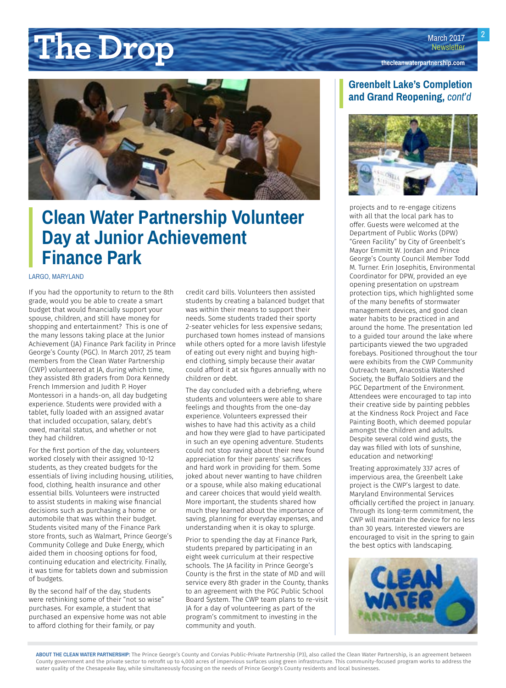## <span id="page-1-0"></span>March 2017<br> **Newsletter Newsletter [thecleanwaterpartnership.com](http://thecleanwaterpartnership.com)**



### **Clean Water Partnership Volunteer Day at Junior Achievement Finance Park**

#### LARGO, MARYLAND

If you had the opportunity to return to the 8th grade, would you be able to create a smart budget that would financially support your spouse, children, and still have money for shopping and entertainment? This is one of the many lessons taking place at the Junior Achievement (JA) Finance Park facility in Prince George's County (PGC). In March 2017, 25 team members from the Clean Water Partnership (CWP) volunteered at JA, during which time, they assisted 8th graders from Dora Kennedy French Immersion and Judith P. Hoyer Montessori in a hands-on, all day budgeting experience. Students were provided with a tablet, fully loaded with an assigned avatar that included occupation, salary, debt's owed, marital status, and whether or not they had children.

For the first portion of the day, volunteers worked closely with their assigned 10-12 students, as they created budgets for the essentials of living including housing, utilities, food, clothing, health insurance and other essential bills. Volunteers were instructed to assist students in making wise financial decisions such as purchasing a home or automobile that was within their budget. Students visited many of the Finance Park store fronts, such as Walmart, Prince George's Community College and Duke Energy, which aided them in choosing options for food, continuing education and electricity. Finally, it was time for tablets down and submission of budgets.

By the second half of the day, students were rethinking some of their "not so wise" purchases. For example, a student that purchased an expensive home was not able to afford clothing for their family, or pay

credit card bills. Volunteers then assisted students by creating a balanced budget that was within their means to support their needs. Some students traded their sporty 2-seater vehicles for less expensive sedans; purchased town homes instead of mansions while others opted for a more lavish lifestyle of eating out every night and buying highend clothing, simply because their avatar could afford it at six figures annually with no children or debt.

The day concluded with a debriefing, where students and volunteers were able to share feelings and thoughts from the one-day experience. Volunteers expressed their wishes to have had this activity as a child and how they were glad to have participated in such an eye opening adventure. Students could not stop raving about their new found appreciation for their parents' sacrifices and hard work in providing for them. Some joked about never wanting to have children or a spouse, while also making educational and career choices that would yield wealth. More important, the students shared how much they learned about the importance of saving, planning for everyday expenses, and understanding when it is okay to splurge.

Prior to spending the day at Finance Park, students prepared by participating in an eight week curriculum at their respective schools. The JA facility in Prince George's County is the first in the state of MD and will service every 8th grader in the County, thanks to an agreement with the PGC Public School Board System. The CWP team plans to re-visit JA for a day of volunteering as part of the program's commitment to investing in the community and youth.

#### **Greenbelt Lake's Completion and Grand Reopening,** *cont'd*



projects and to re-engage citizens with all that the local park has to offer. Guests were welcomed at the Department of Public Works (DPW) "Green Facility" by City of Greenbelt's Mayor Emmitt W. Jordan and Prince George's County Council Member Todd M. Turner. Erin Josephitis, Environmental Coordinator for DPW, provided an eye opening presentation on upstream protection tips, which highlighted some of the many benefits of stormwater management devices, and good clean water habits to be practiced in and around the home. The presentation led to a guided tour around the lake where participants viewed the two upgraded forebays. Positioned throughout the tour were exhibits from the CWP Community Outreach team, Anacostia Watershed Society, the Buffalo Soldiers and the PGC Department of the Environment. Attendees were encouraged to tap into their creative side by painting pebbles at the Kindness Rock Project and Face Painting Booth, which deemed popular amongst the children and adults. Despite several cold wind gusts, the day was filled with lots of sunshine, education and networking!

Treating approximately 337 acres of impervious area, the Greenbelt Lake project is the CWP's largest to date. Maryland Environmental Services officially certified the project in January. Through its long-term commitment, the CWP will maintain the device for no less than 30 years. Interested viewers are encouraged to visit in the spring to gain the best optics with landscaping.

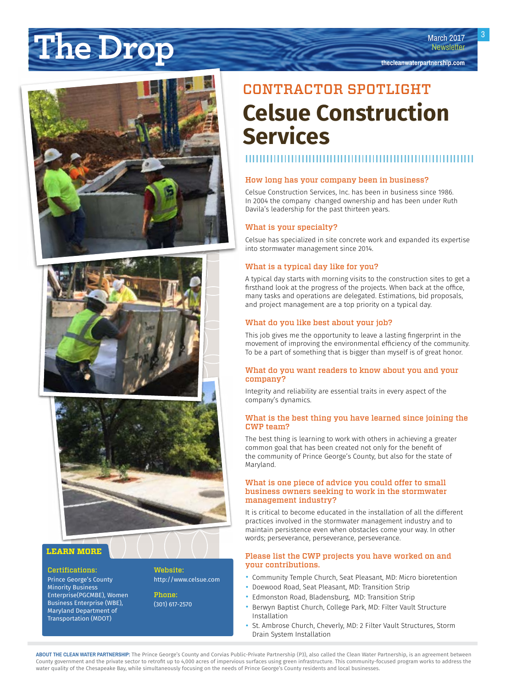## <span id="page-2-0"></span>**The Drop March 2017**<br> **Newsletter [thecleanwaterpartnership.com](http://thecleanwaterpartnership.com)**







#### **LEARN MORE**

#### Certifications:

Prince George's County Minority Business Enterprise(PGCMBE), Women Business Enterprise (WBE), Maryland Department of Transportation (MDOT)

Website:

<http://www.celsue.com>

Phone: (301) 617-2570

## CONTRACTOR SPOTLIGHT **Celsue Construction Services**

#### How long has your company been in business?

Celsue Construction Services, Inc. has been in business since 1986. In 2004 the company changed ownership and has been under Ruth Davila's leadership for the past thirteen years.

#### What is your specialty?

Celsue has specialized in site concrete work and expanded its expertise into stormwater management since 2014.

#### What is a typical day like for you?

A typical day starts with morning visits to the construction sites to get a firsthand look at the progress of the projects. When back at the office, many tasks and operations are delegated. Estimations, bid proposals, and project management are a top priority on a typical day.

#### What do you like best about your job?

This job gives me the opportunity to leave a lasting fingerprint in the movement of improving the environmental efficiency of the community. To be a part of something that is bigger than myself is of great honor.

#### What do you want readers to know about you and your company?

Integrity and reliability are essential traits in every aspect of the company's dynamics.

#### What is the best thing you have learned since joining the CWP team?

The best thing is learning to work with others in achieving a greater common goal that has been created not only for the benefit of the community of Prince George's County, but also for the state of Maryland.

#### What is one piece of advice you could offer to small business owners seeking to work in the stormwater management industry?

It is critical to become educated in the installation of all the different practices involved in the stormwater management industry and to maintain persistence even when obstacles come your way. In other words; perseverance, perseverance, perseverance.

#### Please list the CWP projects you have worked on and your contributions.

- Community Temple Church, Seat Pleasant, MD: Micro bioretention<br>• Doewood Road, Seat Pleasant, MD: Transition Strip
- Doewood Road, Seat Pleasant, MD: Transition Strip
- Edmonston Road, Bladensburg, MD: Transition Strip<br>• Berwyn Bantist Church College Park MD: Filter Vault
- Berwyn Baptist Church, College Park, MD: Filter Vault Structure Installation
- St. Ambrose Church, Cheverly, MD: 2 Filter Vault Structures, Storm Drain System Installation

**ABOUT THE CLEAN WATER PARTNERSHIP:** The Prince George's County and Corvias Public-Private Partnership (P3), also called the Clean Water Partnership, is an agreement between County government and the private sector to retrofit up to 4,000 acres of impervious surfaces using green infrastructure. This community-focused program works to address the water quality of the Chesapeake Bay, while simultaneously focusing on the needs of Prince George's County residents and local businesses.

March 2017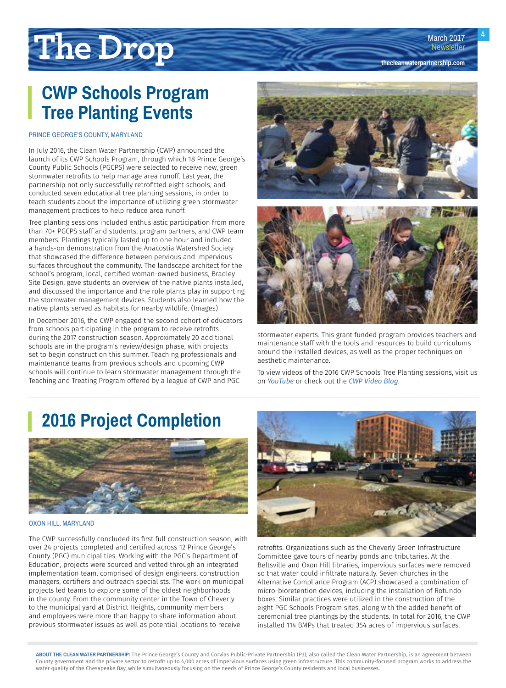**[thecleanwaterpartnership.com](http://thecleanwaterpartnership.com)**

4

# <span id="page-3-0"></span>**The Drop**

### **CWP Schools Program Tree Planting Events**

#### PRINCE GEORGE'S COUNTY, MARYLAND

In July 2016, the Clean Water Partnership (CWP) announced the launch of its CWP Schools Program, through which 18 Prince George's County Public Schools (PGCPS) were selected to receive new, green stormwater retrofits to help manage area runoff. Last year, the partnership not only successfully retrofitted eight schools, and conducted seven educational tree planting sessions, in order to teach students about the importance of utilizing green stormwater management practices to help reduce area runoff.

Tree planting sessions included enthusiastic participation from more than 70+ PGCPS staff and students, program partners, and CWP team members. Plantings typically lasted up to one hour and included a hands-on demonstration from the Anacostia Watershed Society that showcased the difference between pervious and impervious surfaces throughout the community. The landscape architect for the school's program, local, certified woman-owned business, Bradley Site Design, gave students an overview of the native plants installed, and discussed the importance and the role plants play in supporting the stormwater management devices. Students also learned how the native plants served as habitats for nearby wildlife. (Images)

In December 2016, the CWP engaged the second cohort of educators from schools participating in the program to receive retrofits during the 2017 construction season. Approximately 20 additional schools are in the program's review/design phase, with projects set to begin construction this summer. Teaching professionals and maintenance teams from previous schools and upcoming CWP schools will continue to learn stormwater management through the Teaching and Treating Program offered by a league of CWP and PGC





stormwater experts. This grant funded program provides teachers and maintenance staff with the tools and resources to build curriculums around the installed devices, as well as the proper techniques on aesthetic maintenance.

To view videos of the 2016 CWP Schools Tree Planting sessions, visit us on *[YouTube](https://www.youtube.com/channel/UCzbI0psW5FpJjzcyyM1j1DQ)* or check out the *[CWP Video Blog](http://thecleanwaterpartnership.com/category/video/)*.

### **2016 Project Completion**



#### OXON HILL, MARYLAND

The CWP successfully concluded its first full construction season, with over 24 projects completed and certified across 12 Prince George's County (PGC) municipalities. Working with the PGC's Department of Education, projects were sourced and vetted through an integrated implementation team, comprised of design engineers, construction managers, certifiers and outreach specialists. The work on municipal projects led teams to explore some of the oldest neighborhoods in the county. From the community center in the Town of Cheverly to the municipal yard at District Heights, community members and employees were more than happy to share information about previous stormwater issues as well as potential locations to receive



retrofits. Organizations such as the Cheverly Green Infrastructure Committee gave tours of nearby ponds and tributaries. At the Beltsville and Oxon Hill libraries, impervious surfaces were removed so that water could infiltrate naturally. Seven churches in the Alternative Compliance Program (ACP) showcased a combination of micro-bioretention devices, including the installation of Rotundo boxes. Similar practices were utilized in the construction of the eight PGC Schools Program sites, along with the added benefit of ceremonial tree plantings by the students. In total for 2016, the CWP installed 114 BMPs that treated 354 acres of impervious surfaces.

**ABOUT THE CLEAN WATER PARTNERSHIP:** The Prince George's County and Corvias Public-Private Partnership (P3), also called the Clean Water Partnership, is an agreement between County government and the private sector to retrofit up to 4,000 acres of impervious surfaces using green infrastructure. This community-focused program works to address the water quality of the Chesapeake Bay, while simultaneously focusing on the needs of Prince George's County residents and local businesses.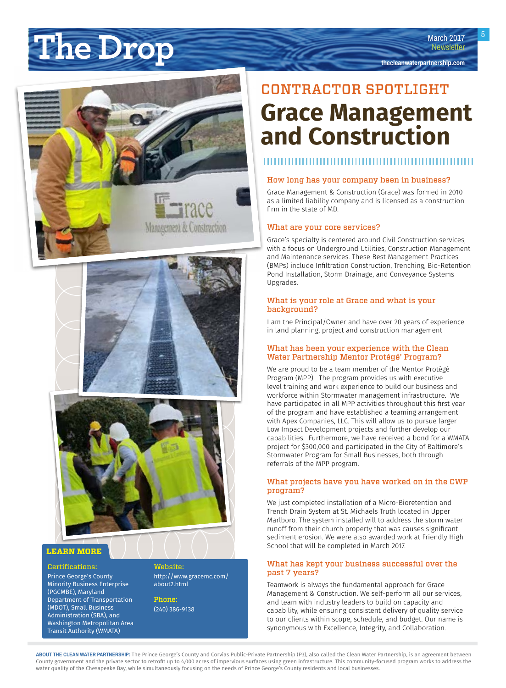# <span id="page-4-0"></span>March 2017<br> **Newsletter Newsletter Newsletter Newsletter Newsletter**



## CONTRACTOR SPOTLIGHT **Grace Management and Construction**

#### 

#### How long has your company been in business?

Grace Management & Construction (Grace) was formed in 2010 as a limited liability company and is licensed as a construction firm in the state of MD.

#### What are your core services?

Grace's specialty is centered around Civil Construction services, with a focus on Underground Utilities, Construction Management and Maintenance services. These Best Management Practices (BMPs) include Infiltration Construction, Trenching, Bio-Retention Pond Installation, Storm Drainage, and Conveyance Systems Upgrades.

#### What is your role at Grace and what is your background?

I am the Principal/Owner and have over 20 years of experience in land planning, project and construction management

#### What has been your experience with the Clean Water Partnership Mentor Protégé' Program?

We are proud to be a team member of the Mentor Protégé Program (MPP). The program provides us with executive level training and work experience to build our business and workforce within Stormwater management infrastructure. We have participated in all MPP activities throughout this first year of the program and have established a teaming arrangement with Apex Companies, LLC. This will allow us to pursue larger Low Impact Development projects and further develop our capabilities. Furthermore, we have received a bond for a WMATA project for \$300,000 and participated in the City of Baltimore's Stormwater Program for Small Businesses, both through referrals of the MPP program.

#### What projects have you have worked on in the CWP program?

We just completed installation of a Micro-Bioretention and Trench Drain System at St. Michaels Truth located in Upper Marlboro. The system installed will to address the storm water runoff from their church property that was causes significant sediment erosion. We were also awarded work at Friendly High School that will be completed in March 2017.

#### What has kept your business successful over the past 7 years?

Teamwork is always the fundamental approach for Grace Management & Construction. We self-perform all our services, and team with industry leaders to build on capacity and capability, while ensuring consistent delivery of quality service to our clients within scope, schedule, and budget. Our name is synonymous with Excellence, Integrity, and Collaboration.

#### **LEARN MORE**

Certifications:

Prince George's County Minority Business Enterprise (PGCMBE), Maryland Department of Transportation (MDOT), Small Business Administration (SBA), and Washington Metropolitan Area Transit Authority (WMATA)

Website: [http://www.gracemc.com/](http://www.gracemc.com/about2.html)

Management & Construction

Phone: (240) 386-9138

[about2.html](http://www.gracemc.com/about2.html)

**ABOUT THE CLEAN WATER PARTNERSHIP:** The Prince George's County and Corvias Public-Private Partnership (P3), also called the Clean Water Partnership, is an agreement between County government and the private sector to retrofit up to 4,000 acres of impervious surfaces using green infrastructure. This community-focused program works to address the water quality of the Chesapeake Bay, while simultaneously focusing on the needs of Prince George's County residents and local businesses.

March 2017